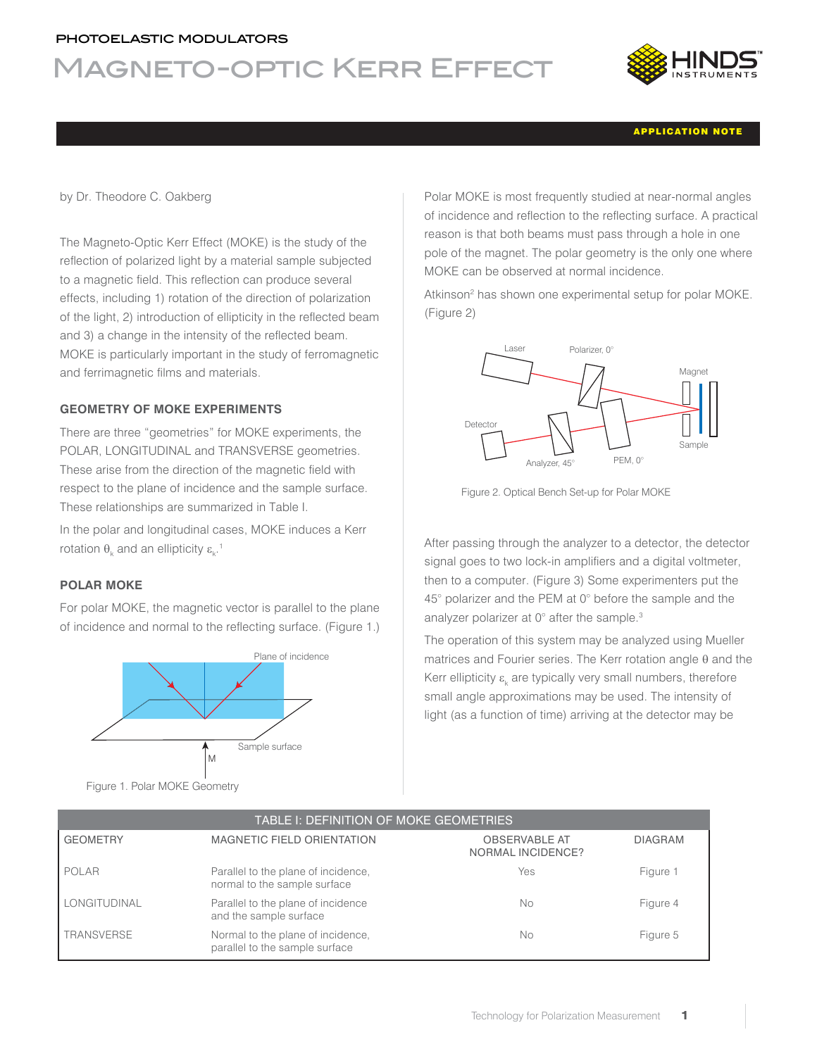# photoelastic modulators

# Magneto-optic Kerr Effect



### APPLICATION NOTE

by Dr. Theodore C. Oakberg

The Magneto-Optic Kerr Effect (MOKE) is the study of the reflection of polarized light by a material sample subjected to a magnetic field. This reflection can produce several effects, including 1) rotation of the direction of polarization of the light, 2) introduction of ellipticity in the reflected beam and 3) a change in the intensity of the reflected beam. MOKE is particularly important in the study of ferromagnetic and ferrimagnetic films and materials.

### **GEOMETRY OF MOKE EXPERIMENTS**

There are three "geometries" for MOKE experiments, the POLAR, LONGITUDINAL and TRANSVERSE geometries. These arise from the direction of the magnetic field with respect to the plane of incidence and the sample surface. These relationships are summarized in Table I.

In the polar and longitudinal cases, MOKE induces a Kerr rotation  $\theta_{\rm k}$  and an ellipticity  $\epsilon_{\rm k}^{-1}$ 

### **POLAR MOKE**

For polar MOKE, the magnetic vector is parallel to the plane of incidence and normal to the reflecting surface. (Figure 1.)



Figure 1. Polar MOKE Geometry

Polar MOKE is most frequently studied at near-normal angles of incidence and reflection to the reflecting surface. A practical reason is that both beams must pass through a hole in one pole of the magnet. The polar geometry is the only one where MOKE can be observed at normal incidence.

Atkinson<sup>2</sup> has shown one experimental setup for polar MOKE. (Figure 2)



Figure 2. Optical Bench Set-up for Polar MOKE

After passing through the analyzer to a detector, the detector signal goes to two lock-in amplifiers and a digital voltmeter, then to a computer. (Figure 3) Some experimenters put the 45° polarizer and the PEM at 0° before the sample and the analyzer polarizer at 0° after the sample.<sup>3</sup>

The operation of this system may be analyzed using Mueller matrices and Fourier series. The Kerr rotation angle  $\theta$  and the Kerr ellipticity  $\varepsilon_{\rm k}$  are typically very small numbers, therefore small angle approximations may be used. The intensity of light (as a function of time) arriving at the detector may be

| TABLE I: DEFINITION OF MOKE GEOMETRIES |                                                                     |                                                  |                |
|----------------------------------------|---------------------------------------------------------------------|--------------------------------------------------|----------------|
| <b>GEOMETRY</b>                        | <b>MAGNETIC FIELD ORIENTATION</b>                                   | <b>OBSERVABLE AT</b><br><b>NORMAL INCIDENCE?</b> | <b>DIAGRAM</b> |
| POLAR                                  | Parallel to the plane of incidence,<br>normal to the sample surface | Yes                                              | Figure 1       |
| <b>LONGITUDINAL</b>                    | Parallel to the plane of incidence<br>and the sample surface        | No                                               | Figure 4       |
| TRANSVERSE                             | Normal to the plane of incidence,<br>parallel to the sample surface | No                                               | Figure 5       |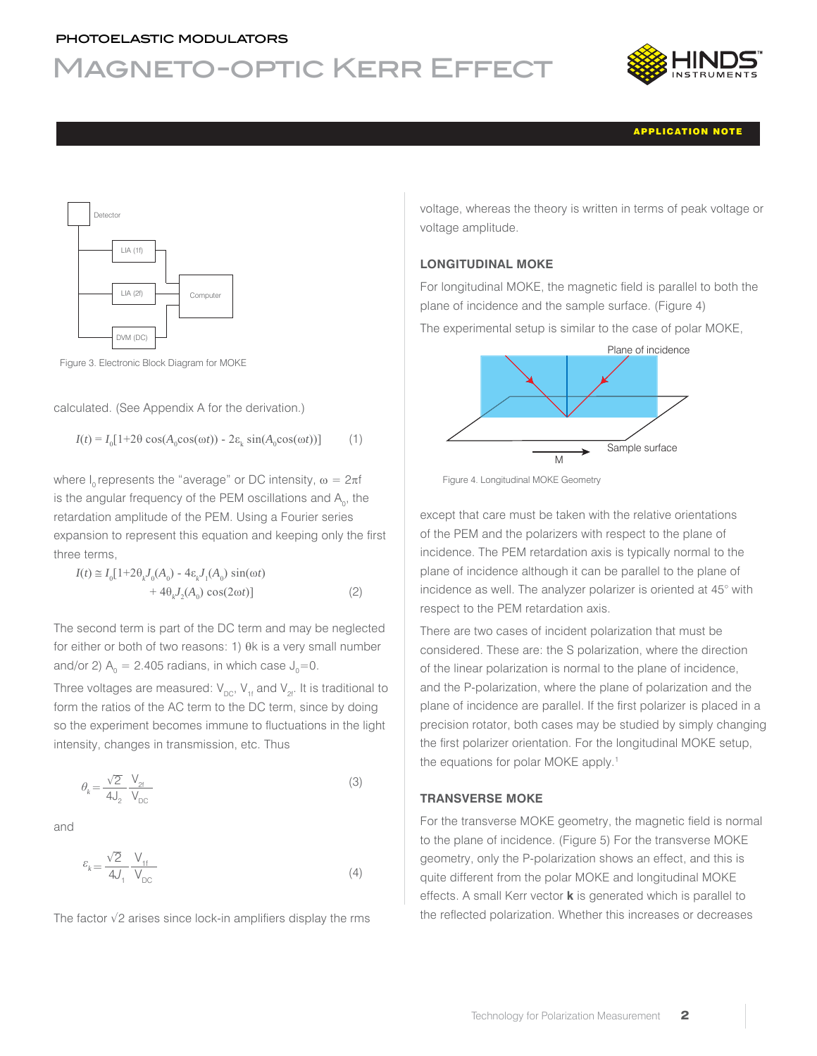# Magneto-optic Kerr Effect



APPLICATION NOTE



Figure 3. Electronic Block Diagram for MOKE

calculated. (See Appendix A for the derivation.)

$$
I(t) = I_0[1+2\theta \cos(A_0 \cos(\omega t)) - 2\varepsilon_k \sin(A_0 \cos(\omega t))]
$$
 (1)

where I<sub>n</sub> represents the "average" or DC intensity,  $\omega = 2\pi f$ is the angular frequency of the PEM oscillations and  $A_{0}$ , the retardation amplitude of the PEM. Using a Fourier series expansion to represent this equation and keeping only the first three terms,

$$
I(t) \approx I_0[1+2\theta_k J_0(A_0) - 4\varepsilon_k J_1(A_0) \sin(\omega t) + 4\theta_k J_2(A_0) \cos(2\omega t)]
$$
 (2)

The second term is part of the DC term and may be neglected for either or both of two reasons:  $1)$   $0k$  is a very small number and/or 2)  $A_0 = 2.405$  radians, in which case  $J_0 = 0$ .

Three voltages are measured:  $V_{\text{DC}}$ ,  $V_{\text{1f}}$  and  $V_{\text{2f}}$ . It is traditional to form the ratios of the AC term to the DC term, since by doing so the experiment becomes immune to fluctuations in the light intensity, changes in transmission, etc. Thus

$$
\theta_k = \frac{\sqrt{2}}{4J_2} \frac{V_{2f}}{V_{DC}}
$$
\n(3)

and

$$
\varepsilon_{k} = \frac{\sqrt{2}}{4J_{1}} \frac{V_{1f}}{V_{DC}}
$$
\n(4)

The factor  $\sqrt{2}$  arises since lock-in amplifiers display the rms

voltage, whereas the theory is written in terms of peak voltage or voltage amplitude.

### **LONGITUDINAL MOKE**

For longitudinal MOKE, the magnetic field is parallel to both the plane of incidence and the sample surface. (Figure 4)

The experimental setup is similar to the case of polar MOKE,





except that care must be taken with the relative orientations of the PEM and the polarizers with respect to the plane of incidence. The PEM retardation axis is typically normal to the plane of incidence although it can be parallel to the plane of incidence as well. The analyzer polarizer is oriented at 45° with respect to the PEM retardation axis.

There are two cases of incident polarization that must be considered. These are: the S polarization, where the direction of the linear polarization is normal to the plane of incidence, and the P-polarization, where the plane of polarization and the plane of incidence are parallel. If the first polarizer is placed in a precision rotator, both cases may be studied by simply changing the first polarizer orientation. For the longitudinal MOKE setup, the equations for polar MOKE apply.<sup>1</sup>

### **TRANSVERSE MOKE**

For the transverse MOKE geometry, the magnetic field is normal to the plane of incidence. (Figure 5) For the transverse MOKE geometry, only the P-polarization shows an effect, and this is quite different from the polar MOKE and longitudinal MOKE effects. A small Kerr vector **k** is generated which is parallel to the reflected polarization. Whether this increases or decreases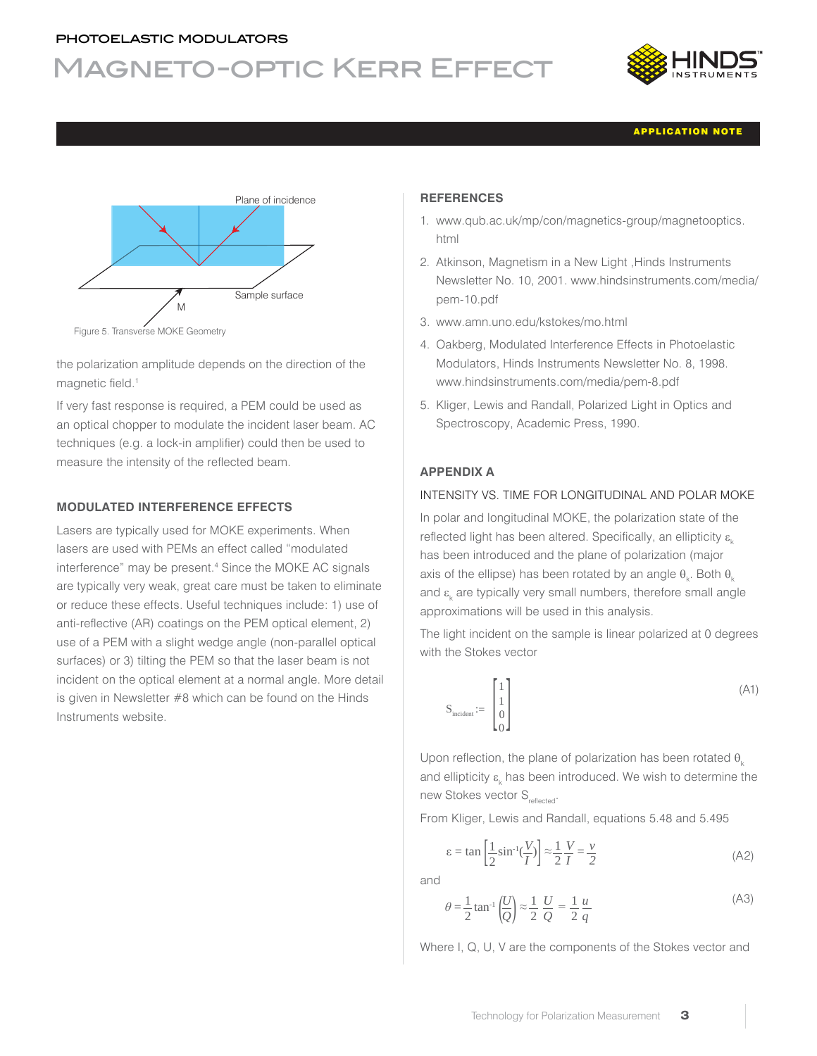# Magneto-optic Kerr Effect



APPLICATION NOTE



the polarization amplitude depends on the direction of the magnetic field.<sup>1</sup>

If very fast response is required, a PEM could be used as an optical chopper to modulate the incident laser beam. AC techniques (e.g. a lock-in amplifier) could then be used to measure the intensity of the reflected beam.

# **MODULATED INTERFERENCE EFFECTS**

Lasers are typically used for MOKE experiments. When lasers are used with PEMs an effect called "modulated interference" may be present.<sup>4</sup> Since the MOKE AC signals are typically very weak, great care must be taken to eliminate or reduce these effects. Useful techniques include: 1) use of anti-reflective (AR) coatings on the PEM optical element, 2) use of a PEM with a slight wedge angle (non-parallel optical surfaces) or 3) tilting the PEM so that the laser beam is not incident on the optical element at a normal angle. More detail is given in Newsletter #8 which can be found on the Hinds Instruments website.

### **REFERENCES**

- 1. www.qub.ac.uk/mp/con/magnetics-group/magnetooptics. html
- 2. Atkinson, Magnetism in a New Light ,Hinds Instruments Newsletter No. 10, 2001. www.hindsinstruments.com/media/ pem-10.pdf
- 3. www.amn.uno.edu/kstokes/mo.html
- 4. Oakberg, Modulated Interference Effects in Photoelastic Modulators, Hinds Instruments Newsletter No. 8, 1998. www.hindsinstruments.com/media/pem-8.pdf
- 5. Kliger, Lewis and Randall, Polarized Light in Optics and Spectroscopy, Academic Press, 1990.

# **APPENDIX A**

# INTENSITY VS. TIME FOR LONGITUDINAL AND POLAR MOKE

In polar and longitudinal MOKE, the polarization state of the reflected light has been altered. Specifically, an ellipticity  $\varepsilon_{\nu}$ has been introduced and the plane of polarization (major axis of the ellipse) has been rotated by an angle  $\theta_{\rm k}$ . Both  $\theta_{\rm k}$ and  $\varepsilon_{_\mathsf{k}}$  are typically very small numbers, therefore small angle approximations will be used in this analysis.

The light incident on the sample is linear polarized at 0 degrees with the Stokes vector

$$
S_{\text{incident}} := \begin{bmatrix} 1 \\ 1 \\ 0 \\ 0 \end{bmatrix} \tag{A1}
$$

Upon reflection, the plane of polarization has been rotated  $\theta$ . and ellipticity  $\varepsilon_{\rm k}$  has been introduced. We wish to determine the new Stokes vector S<sub>reflected</sub>.

From Kliger, Lewis and Randall, equations 5.48 and 5.495

$$
\varepsilon = \tan\left[\frac{1}{2}\sin^{-1}\left(\frac{V}{I}\right)\right] \approx \frac{1}{2}\frac{V}{I} = \frac{v}{2}
$$
 (A2)

and

$$
\theta = \frac{1}{2} \tan^{-1} \left(\frac{U}{Q}\right) \approx \frac{1}{2} \frac{U}{Q} = \frac{1}{2} \frac{u}{q}
$$
\n(A3)

Where I, Q, U, V are the components of the Stokes vector and